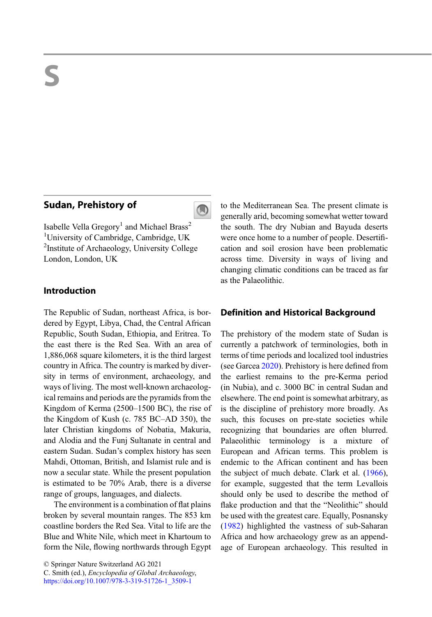# Sudan, Prehistory of



Isabelle Vella Gregory<sup>1</sup> and Michael Brass<sup>2</sup> <sup>1</sup>University of Cambridge, Cambridge, UK <sup>2</sup>Institute of Archaeology, University College London, London, UK

# Introduction

The Republic of Sudan, northeast Africa, is bordered by Egypt, Libya, Chad, the Central African Republic, South Sudan, Ethiopia, and Eritrea. To the east there is the Red Sea. With an area of 1,886,068 square kilometers, it is the third largest country in Africa. The country is marked by diversity in terms of environment, archaeology, and ways of living. The most well-known archaeological remains and periods are the pyramids from the Kingdom of Kerma (2500–1500 BC), the rise of the Kingdom of Kush (c. 785 BC–AD 350), the later Christian kingdoms of Nobatia, Makuria, and Alodia and the Funj Sultanate in central and eastern Sudan. Sudan's complex history has seen Mahdi, Ottoman, British, and Islamist rule and is now a secular state. While the present population is estimated to be 70% Arab, there is a diverse range of groups, languages, and dialects.

The environment is a combination of flat plains broken by several mountain ranges. The 853 km coastline borders the Red Sea. Vital to life are the Blue and White Nile, which meet in Khartoum to form the Nile, flowing northwards through Egypt

© Springer Nature Switzerland AG 2021

C. Smith (ed.), Encyclopedia of Global Archaeology, [https://doi.org/10.1007/978-3-319-51726-1\\_3509-1](https://doi.org/10.1007/978-3-319-51726-1_3509-1)

to the Mediterranean Sea. The present climate is generally arid, becoming somewhat wetter toward the south. The dry Nubian and Bayuda deserts were once home to a number of people. Desertification and soil erosion have been problematic across time. Diversity in ways of living and changing climatic conditions can be traced as far as the Palaeolithic.

### Definition and Historical Background

The prehistory of the modern state of Sudan is currently a patchwork of terminologies, both in terms of time periods and localized tool industries (see Garcea [2020\)](#page-14-0). Prehistory is here defined from the earliest remains to the pre-Kerma period (in Nubia), and c. 3000 BC in central Sudan and elsewhere. The end point is somewhat arbitrary, as is the discipline of prehistory more broadly. As such, this focuses on pre-state societies while recognizing that boundaries are often blurred. Palaeolithic terminology is a mixture of European and African terms. This problem is endemic to the African continent and has been the subject of much debate. Clark et al. ([1966\)](#page-14-0), for example, suggested that the term Levallois should only be used to describe the method of flake production and that the "Neolithic" should be used with the greatest care. Equally, Posnansky [\(1982](#page-15-0)) highlighted the vastness of sub-Saharan Africa and how archaeology grew as an appendage of European archaeology. This resulted in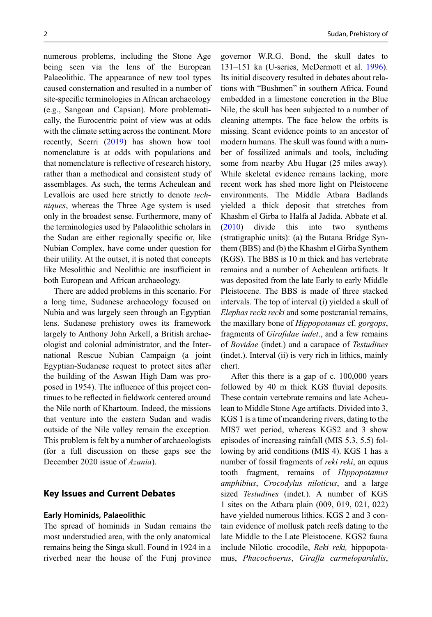numerous problems, including the Stone Age being seen via the lens of the European Palaeolithic. The appearance of new tool types caused consternation and resulted in a number of site-specific terminologies in African archaeology (e.g., Sangoan and Capsian). More problematically, the Eurocentric point of view was at odds with the climate setting across the continent. More recently, Scerri ([2019\)](#page-15-0) has shown how tool nomenclature is at odds with populations and that nomenclature is reflective of research history, rather than a methodical and consistent study of assemblages. As such, the terms Acheulean and Levallois are used here strictly to denote techniques, whereas the Three Age system is used only in the broadest sense. Furthermore, many of the terminologies used by Palaeolithic scholars in the Sudan are either regionally specific or, like Nubian Complex, have come under question for their utility. At the outset, it is noted that concepts like Mesolithic and Neolithic are insufficient in both European and African archaeology.

There are added problems in this scenario. For a long time, Sudanese archaeology focused on Nubia and was largely seen through an Egyptian lens. Sudanese prehistory owes its framework largely to Anthony John Arkell, a British archaeologist and colonial administrator, and the International Rescue Nubian Campaign (a joint Egyptian-Sudanese request to protect sites after the building of the Aswan High Dam was proposed in 1954). The influence of this project continues to be reflected in fieldwork centered around the Nile north of Khartoum. Indeed, the missions that venture into the eastern Sudan and wadis outside of the Nile valley remain the exception. This problem is felt by a number of archaeologists (for a full discussion on these gaps see the December 2020 issue of *Azania*).

#### Key Issues and Current Debates

#### Early Hominids, Palaeolithic

The spread of hominids in Sudan remains the most understudied area, with the only anatomical remains being the Singa skull. Found in 1924 in a riverbed near the house of the Funj province

governor W.R.G. Bond, the skull dates to 131–151 ka (U-series, McDermott et al. [1996\)](#page-15-0). Its initial discovery resulted in debates about relations with "Bushmen" in southern Africa. Found embedded in a limestone concretion in the Blue Nile, the skull has been subjected to a number of cleaning attempts. The face below the orbits is missing. Scant evidence points to an ancestor of modern humans. The skull was found with a number of fossilized animals and tools, including some from nearby Abu Hugar (25 miles away). While skeletal evidence remains lacking, more recent work has shed more light on Pleistocene environments. The Middle Atbara Badlands yielded a thick deposit that stretches from Khashm el Girba to Halfa al Jadida. Abbate et al. [\(2010](#page-14-0)) divide this into two synthems (stratigraphic units): (a) the Butana Bridge Synthem (BBS) and (b) the Khashm el Girba Synthem (KGS). The BBS is 10 m thick and has vertebrate remains and a number of Acheulean artifacts. It was deposited from the late Early to early Middle Pleistocene. The BBS is made of three stacked intervals. The top of interval (i) yielded a skull of Elephas recki recki and some postcranial remains, the maxillary bone of Hippopotamus cf. gorgops, fragments of Girafidae indet., and a few remains of Bovidae (indet.) and a carapace of Testudines (indet.). Interval (ii) is very rich in lithics, mainly chert.

After this there is a gap of c. 100,000 years followed by 40 m thick KGS fluvial deposits. These contain vertebrate remains and late Acheulean to Middle Stone Age artifacts. Divided into 3, KGS 1 is a time of meandering rivers, dating to the MIS7 wet period, whereas KGS2 and 3 show episodes of increasing rainfall (MIS 5.3, 5.5) following by arid conditions (MIS 4). KGS 1 has a number of fossil fragments of *reki reki*, an equus tooth fragment, remains of Hippopotamus amphibius, Crocodylus niloticus, and a large sized *Testudines* (indet.). A number of KGS 1 sites on the Atbara plain (009, 019, 021, 022) have yielded numerous lithics. KGS 2 and 3 contain evidence of mollusk patch reefs dating to the late Middle to the Late Pleistocene. KGS2 fauna include Nilotic crocodile, Reki reki, hippopotamus, Phacochoerus, Giraffa carmelopardalis,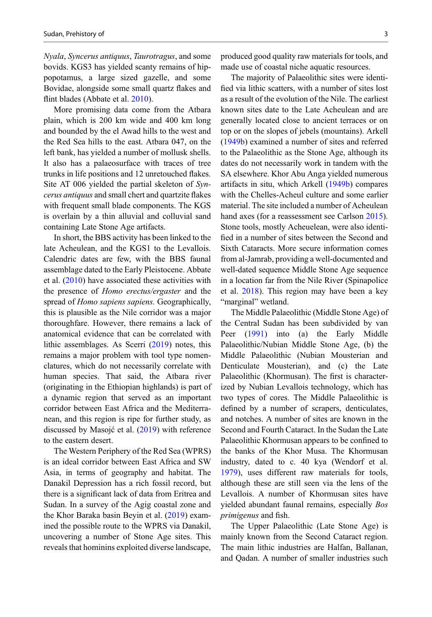Nyala, Syncerus antiquus, Taurotragus, and some bovids. KGS3 has yielded scanty remains of hippopotamus, a large sized gazelle, and some Bovidae, alongside some small quartz flakes and flint blades (Abbate et al. [2010\)](#page-14-0).

More promising data come from the Atbara plain, which is 200 km wide and 400 km long and bounded by the el Awad hills to the west and the Red Sea hills to the east. Atbara 047, on the left bank, has yielded a number of mollusk shells. It also has a palaeosurface with traces of tree trunks in life positions and 12 unretouched flakes. Site AT 006 yielded the partial skeleton of Syncerus antiquus and small chert and quartzite flakes with frequent small blade components. The KGS is overlain by a thin alluvial and colluvial sand containing Late Stone Age artifacts.

In short, the BBS activity has been linked to the late Acheulean, and the KGS1 to the Levallois. Calendric dates are few, with the BBS faunal assemblage dated to the Early Pleistocene. Abbate et al. ([2010\)](#page-14-0) have associated these activities with the presence of Homo erectus/ergaster and the spread of *Homo sapiens sapiens*. Geographically, this is plausible as the Nile corridor was a major thoroughfare. However, there remains a lack of anatomical evidence that can be correlated with lithic assemblages. As Scerri [\(2019](#page-15-0)) notes, this remains a major problem with tool type nomenclatures, which do not necessarily correlate with human species. That said, the Atbara river (originating in the Ethiopian highlands) is part of a dynamic region that served as an important corridor between East Africa and the Mediterranean, and this region is ripe for further study, as discussed by Masojć et al. [\(2019](#page-15-0)) with reference to the eastern desert.

The Western Periphery of the Red Sea (WPRS) is an ideal corridor between East Africa and SW Asia, in terms of geography and habitat. The Danakil Depression has a rich fossil record, but there is a significant lack of data from Eritrea and Sudan. In a survey of the Agig coastal zone and the Khor Baraka basin Beyin et al. ([2019\)](#page-14-0) examined the possible route to the WPRS via Danakil, uncovering a number of Stone Age sites. This reveals that hominins exploited diverse landscape,

produced good quality raw materials for tools, and made use of coastal niche aquatic resources.

The majority of Palaeolithic sites were identified via lithic scatters, with a number of sites lost as a result of the evolution of the Nile. The earliest known sites date to the Late Acheulean and are generally located close to ancient terraces or on top or on the slopes of jebels (mountains). Arkell [\(1949b](#page-14-0)) examined a number of sites and referred to the Palaeolithic as the Stone Age, although its dates do not necessarily work in tandem with the SA elsewhere. Khor Abu Anga yielded numerous artifacts in situ, which Arkell [\(1949b\)](#page-14-0) compares with the Chelles-Acheul culture and some earlier material. The site included a number of Acheulean hand axes (for a reassessment see Carlson [2015\)](#page-14-0). Stone tools, mostly Acheuelean, were also identified in a number of sites between the Second and Sixth Cataracts. More secure information comes from al-Jamrab, providing a well-documented and well-dated sequence Middle Stone Age sequence in a location far from the Nile River (Spinapolice et al. [2018\)](#page-15-0). This region may have been a key "marginal" wetland.

The Middle Palaeolithic (Middle Stone Age) of the Central Sudan has been subdivided by van Peer [\(1991](#page-15-0)) into (a) the Early Middle Palaeolithic/Nubian Middle Stone Age, (b) the Middle Palaeolithic (Nubian Mousterian and Denticulate Mousterian), and (c) the Late Palaeolithic (Khormusan). The first is characterized by Nubian Levallois technology, which has two types of cores. The Middle Palaeolithic is defined by a number of scrapers, denticulates, and notches. A number of sites are known in the Second and Fourth Cataract. In the Sudan the Late Palaeolithic Khormusan appears to be confined to the banks of the Khor Musa. The Khormusan industry, dated to c. 40 kya (Wendorf et al. [1979\)](#page-16-0), uses different raw materials for tools, although these are still seen via the lens of the Levallois. A number of Khormusan sites have yielded abundant faunal remains, especially Bos primigenus and fish.

The Upper Palaeolithic (Late Stone Age) is mainly known from the Second Cataract region. The main lithic industries are Halfan, Ballanan, and Qadan. A number of smaller industries such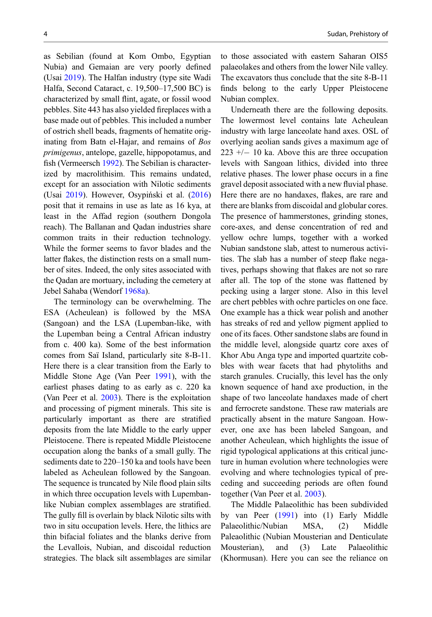as Sebilian (found at Kom Ombo, Egyptian Nubia) and Gemaian are very poorly defined (Usai [2019](#page-15-0)). The Halfan industry (type site Wadi Halfa, Second Cataract, c. 19,500–17,500 BC) is characterized by small flint, agate, or fossil wood pebbles. Site 443 has also yielded fireplaces with a base made out of pebbles. This included a number of ostrich shell beads, fragments of hematite originating from Batn el-Hajar, and remains of Bos primigenus, antelope, gazelle, hippopotamus, and fish (Vermeersch [1992](#page-16-0)). The Sebilian is characterized by macrolithisim. This remains undated, except for an association with Nilotic sediments (Usai [2019\)](#page-15-0). However, Osypiński et al. [\(2016](#page-15-0)) posit that it remains in use as late as 16 kya, at least in the Affad region (southern Dongola reach). The Ballanan and Qadan industries share common traits in their reduction technology. While the former seems to favor blades and the latter flakes, the distinction rests on a small number of sites. Indeed, the only sites associated with the Qadan are mortuary, including the cemetery at Jebel Sahaba (Wendorf [1968a\)](#page-16-0).

The terminology can be overwhelming. The ESA (Acheulean) is followed by the MSA (Sangoan) and the LSA (Lupemban-like, with the Lupemban being a Central African industry from c. 400 ka). Some of the best information comes from Saï Island, particularly site 8-B-11. Here there is a clear transition from the Early to Middle Stone Age (Van Peer [1991\)](#page-15-0), with the earliest phases dating to as early as c. 220 ka (Van Peer et al. [2003\)](#page-15-0). There is the exploitation and processing of pigment minerals. This site is particularly important as there are stratified deposits from the late Middle to the early upper Pleistocene. There is repeated Middle Pleistocene occupation along the banks of a small gully. The sediments date to 220–150 ka and tools have been labeled as Acheulean followed by the Sangoan. The sequence is truncated by Nile flood plain silts in which three occupation levels with Lupembanlike Nubian complex assemblages are stratified. The gully fill is overlain by black Nilotic silts with two in situ occupation levels. Here, the lithics are thin bifacial foliates and the blanks derive from the Levallois, Nubian, and discoidal reduction strategies. The black silt assemblages are similar

to those associated with eastern Saharan OIS5 palaeolakes and others from the lower Nile valley. The excavators thus conclude that the site 8-B-11 finds belong to the early Upper Pleistocene Nubian complex.

Underneath there are the following deposits. The lowermost level contains late Acheulean industry with large lanceolate hand axes. OSL of overlying aeolian sands gives a maximum age of  $223 + - 10$  ka. Above this are three occupation levels with Sangoan lithics, divided into three relative phases. The lower phase occurs in a fine gravel deposit associated with a new fluvial phase. Here there are no handaxes, flakes, are rare and there are blanks from discoidal and globular cores. The presence of hammerstones, grinding stones, core-axes, and dense concentration of red and yellow ochre lumps, together with a worked Nubian sandstone slab, attest to numerous activities. The slab has a number of steep flake negatives, perhaps showing that flakes are not so rare after all. The top of the stone was flattened by pecking using a larger stone. Also in this level are chert pebbles with ochre particles on one face. One example has a thick wear polish and another has streaks of red and yellow pigment applied to one of its faces. Other sandstone slabs are found in the middle level, alongside quartz core axes of Khor Abu Anga type and imported quartzite cobbles with wear facets that had phytoliths and starch granules. Crucially, this level has the only known sequence of hand axe production, in the shape of two lanceolate handaxes made of chert and ferrocrete sandstone. These raw materials are practically absent in the mature Sangoan. However, one axe has been labeled Sangoan, and another Acheulean, which highlights the issue of rigid typological applications at this critical juncture in human evolution where technologies were evolving and where technologies typical of preceding and succeeding periods are often found together (Van Peer et al. [2003](#page-15-0)).

The Middle Palaeolithic has been subdivided by van Peer ([1991\)](#page-15-0) into (1) Early Middle Palaeolithic/Nubian MSA, (2) Middle Paleaolithic (Nubian Mousterian and Denticulate Mousterian), and (3) Late Palaeolithic (Khormusan). Here you can see the reliance on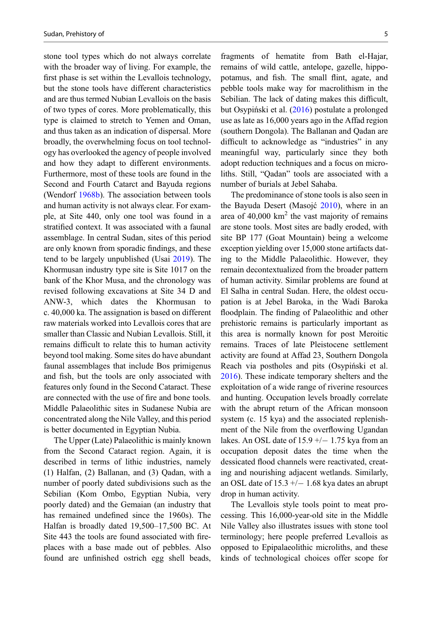stone tool types which do not always correlate with the broader way of living. For example, the first phase is set within the Levallois technology, but the stone tools have different characteristics and are thus termed Nubian Levallois on the basis of two types of cores. More problematically, this type is claimed to stretch to Yemen and Oman, and thus taken as an indication of dispersal. More broadly, the overwhelming focus on tool technology has overlooked the agency of people involved and how they adapt to different environments. Furthermore, most of these tools are found in the Second and Fourth Catarct and Bayuda regions (Wendorf [1968b\)](#page-16-0). The association between tools and human activity is not always clear. For example, at Site 440, only one tool was found in a stratified context. It was associated with a faunal assemblage. In central Sudan, sites of this period are only known from sporadic findings, and these tend to be largely unpublished (Usai [2019](#page-15-0)). The Khormusan industry type site is Site 1017 on the bank of the Khor Musa, and the chronology was revised following excavations at Site 34 D and ANW-3, which dates the Khormusan to c. 40,000 ka. The assignation is based on different raw materials worked into Levallois cores that are smaller than Classic and Nubian Levallois. Still, it remains difficult to relate this to human activity beyond tool making. Some sites do have abundant faunal assemblages that include Bos primigenus and fish, but the tools are only associated with features only found in the Second Cataract. These are connected with the use of fire and bone tools. Middle Palaeolithic sites in Sudanese Nubia are concentrated along the Nile Valley, and this period is better documented in Egyptian Nubia.

The Upper (Late) Palaeolithic is mainly known from the Second Cataract region. Again, it is described in terms of lithic industries, namely (1) Halfan, (2) Ballanan, and (3) Qadan, with a number of poorly dated subdivisions such as the Sebilian (Kom Ombo, Egyptian Nubia, very poorly dated) and the Gemaian (an industry that has remained undefined since the 1960s). The Halfan is broadly dated 19,500–17,500 BC. At Site 443 the tools are found associated with fireplaces with a base made out of pebbles. Also found are unfinished ostrich egg shell beads,

fragments of hematite from Bath el-Hajar, remains of wild cattle, antelope, gazelle, hippopotamus, and fish. The small flint, agate, and pebble tools make way for macrolithism in the Sebilian. The lack of dating makes this difficult, but Osypiński et al. ([2016\)](#page-15-0) postulate a prolonged use as late as 16,000 years ago in the Affad region (southern Dongola). The Ballanan and Qadan are difficult to acknowledge as "industries" in any meaningful way, particularly since they both adopt reduction techniques and a focus on microliths. Still, "Qadan" tools are associated with a number of burials at Jebel Sahaba.

The predominance of stone tools is also seen in the Bayuda Desert (Masojć [2010\)](#page-15-0), where in an area of  $40,000 \text{ km}^2$  the vast majority of remains are stone tools. Most sites are badly eroded, with site BP 177 (Goat Mountain) being a welcome exception yielding over 15,000 stone artifacts dating to the Middle Palaeolithic. However, they remain decontextualized from the broader pattern of human activity. Similar problems are found at El Salha in central Sudan. Here, the oldest occupation is at Jebel Baroka, in the Wadi Baroka floodplain. The finding of Palaeolithic and other prehistoric remains is particularly important as this area is normally known for post Meroitic remains. Traces of late Pleistocene settlement activity are found at Affad 23, Southern Dongola Reach via postholes and pits (Osypiński et al. [2016\)](#page-15-0). These indicate temporary shelters and the exploitation of a wide range of riverine resources and hunting. Occupation levels broadly correlate with the abrupt return of the African monsoon system (c. 15 kya) and the associated replenishment of the Nile from the overflowing Ugandan lakes. An OSL date of  $15.9 +/- 1.75$  kya from an occupation deposit dates the time when the dessicated flood channels were reactivated, creating and nourishing adjacent wetlands. Similarly, an OSL date of  $15.3 +/- 1.68$  kya dates an abrupt drop in human activity.

The Levallois style tools point to meat processing. This 16,000-year-old site in the Middle Nile Valley also illustrates issues with stone tool terminology; here people preferred Levallois as opposed to Epipalaeolithic microliths, and these kinds of technological choices offer scope for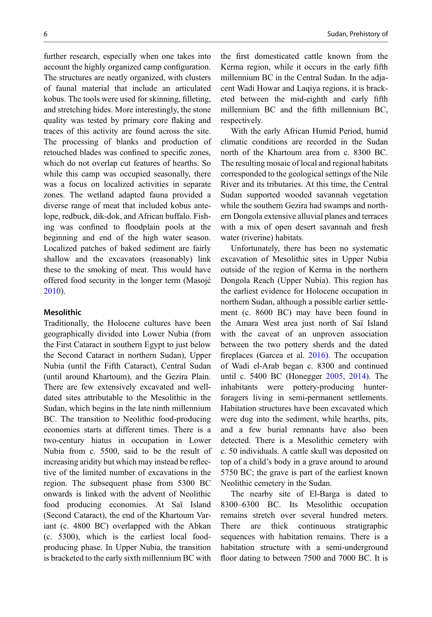further research, especially when one takes into account the highly organized camp configuration. The structures are neatly organized, with clusters of faunal material that include an articulated kobus. The tools were used for skinning, filleting, and stretching hides. More interestingly, the stone quality was tested by primary core flaking and traces of this activity are found across the site. The processing of blanks and production of retouched blades was confined to specific zones, which do not overlap cut features of hearths. So while this camp was occupied seasonally, there was a focus on localized activities in separate zones. The wetland adapted fauna provided a diverse range of meat that included kobus antelope, redbuck, dik-dok, and African buffalo. Fishing was confined to floodplain pools at the beginning and end of the high water season. Localized patches of baked sediment are fairly shallow and the excavators (reasonably) link these to the smoking of meat. This would have offered food security in the longer term (Masojć [2010\)](#page-15-0).

#### Mesolithic

Traditionally, the Holocene cultures have been geographically divided into Lower Nubia (from the First Cataract in southern Egypt to just below the Second Cataract in northern Sudan), Upper Nubia (until the Fifth Cataract), Central Sudan (until around Khartoum), and the Gezira Plain. There are few extensively excavated and welldated sites attributable to the Mesolithic in the Sudan, which begins in the late ninth millennium BC. The transition to Neolithic food-producing economies starts at different times. There is a two-century hiatus in occupation in Lower Nubia from c. 5500, said to be the result of increasing aridity but which may instead be reflective of the limited number of excavations in the region. The subsequent phase from 5300 BC onwards is linked with the advent of Neolithic food producing economies. At Saï Island (Second Cataract), the end of the Khartoum Variant (c. 4800 BC) overlapped with the Abkan (c. 5300), which is the earliest local foodproducing phase. In Upper Nubia, the transition is bracketed to the early sixth millennium BC with

the first domesticated cattle known from the Kerma region, while it occurs in the early fifth millennium BC in the Central Sudan. In the adjacent Wadi Howar and Laqiya regions, it is bracketed between the mid-eighth and early fifth millennium BC and the fifth millennium BC, respectively.

With the early African Humid Period, humid climatic conditions are recorded in the Sudan north of the Khartoum area from c. 8300 BC. The resulting mosaic of local and regional habitats corresponded to the geological settings of the Nile River and its tributaries. At this time, the Central Sudan supported wooded savannah vegetation while the southern Gezira had swamps and northern Dongola extensive alluvial planes and terraces with a mix of open desert savannah and fresh water (riverine) habitats.

Unfortunately, there has been no systematic excavation of Mesolithic sites in Upper Nubia outside of the region of Kerma in the northern Dongola Reach (Upper Nubia). This region has the earliest evidence for Holocene occupation in northern Sudan, although a possible earlier settlement (c. 8600 BC) may have been found in the Amara West area just north of Saï Island with the caveat of an unproven association between the two pottery sherds and the dated fireplaces (Garcea et al. [2016](#page-14-0)). The occupation of Wadi el-Arab began c. 8300 and continued until c. 5400 BC (Honegger [2005,](#page-14-0) [2014\)](#page-14-0). The inhabitants were pottery-producing hunterforagers living in semi-permanent settlements. Habitation structures have been excavated which were dug into the sediment, while hearths, pits, and a few burial remnants have also been detected. There is a Mesolithic cemetery with c. 50 individuals. A cattle skull was deposited on top of a child's body in a grave around to around 5750 BC; the grave is part of the earliest known Neolithic cemetery in the Sudan.

The nearby site of El-Barga is dated to 8300–6300 BC. Its Mesolithic occupation remains stretch over several hundred meters. There are thick continuous stratigraphic sequences with habitation remains. There is a habitation structure with a semi-underground floor dating to between 7500 and 7000 BC. It is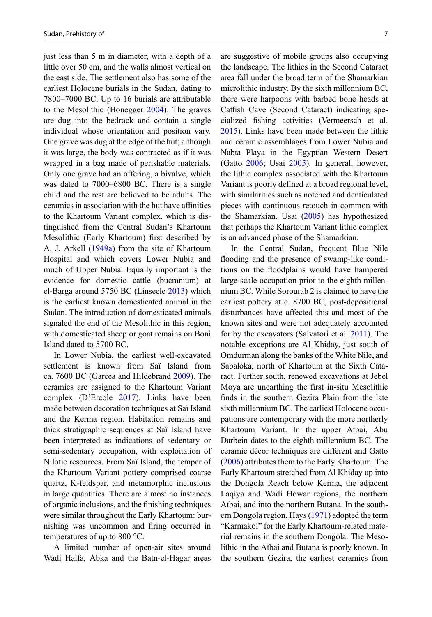just less than 5 m in diameter, with a depth of a little over 50 cm, and the walls almost vertical on the east side. The settlement also has some of the earliest Holocene burials in the Sudan, dating to 7800–7000 BC. Up to 16 burials are attributable to the Mesolithic (Honegger [2004\)](#page-14-0). The graves are dug into the bedrock and contain a single individual whose orientation and position vary. One grave was dug at the edge of the hut; although it was large, the body was contracted as if it was wrapped in a bag made of perishable materials. Only one grave had an offering, a bivalve, which was dated to 7000–6800 BC. There is a single child and the rest are believed to be adults. The ceramics in association with the hut have affinities to the Khartoum Variant complex, which is distinguished from the Central Sudan's Khartoum Mesolithic (Early Khartoum) first described by A. J. Arkell ([1949a](#page-14-0)) from the site of Khartoum Hospital and which covers Lower Nubia and much of Upper Nubia. Equally important is the evidence for domestic cattle (bucranium) at el-Barga around 5750 BC (Linseele [2013](#page-15-0)) which is the earliest known domesticated animal in the Sudan. The introduction of domesticated animals signaled the end of the Mesolithic in this region, with domesticated sheep or goat remains on Boni Island dated to 5700 BC.

In Lower Nubia, the earliest well-excavated settlement is known from Saï Island from ca. 7600 BC (Garcea and Hildebrand [2009\)](#page-14-0). The ceramics are assigned to the Khartoum Variant complex (D'Ercole [2017\)](#page-14-0). Links have been made between decoration techniques at Saï Island and the Kerma region. Habitation remains and thick stratigraphic sequences at Saï Island have been interpreted as indications of sedentary or semi-sedentary occupation, with exploitation of Nilotic resources. From Saï Island, the temper of the Khartoum Variant pottery comprised coarse quartz, K-feldspar, and metamorphic inclusions in large quantities. There are almost no instances of organic inclusions, and the finishing techniques were similar throughout the Early Khartoum: burnishing was uncommon and firing occurred in temperatures of up to 800 °C.

A limited number of open-air sites around Wadi Halfa, Abka and the Batn-el-Hagar areas are suggestive of mobile groups also occupying the landscape. The lithics in the Second Cataract area fall under the broad term of the Shamarkian microlithic industry. By the sixth millennium BC, there were harpoons with barbed bone heads at Catfish Cave (Second Cataract) indicating specialized fishing activities (Vermeersch et al. [2015\)](#page-16-0). Links have been made between the lithic and ceramic assemblages from Lower Nubia and Nabta Playa in the Egyptian Western Desert (Gatto [2006;](#page-14-0) Usai [2005\)](#page-15-0). In general, however, the lithic complex associated with the Khartoum Variant is poorly defined at a broad regional level, with similarities such as notched and denticulated pieces with continuous retouch in common with the Shamarkian. Usai [\(2005](#page-15-0)) has hypothesized that perhaps the Khartoum Variant lithic complex is an advanced phase of the Shamarkian.

In the Central Sudan, frequent Blue Nile flooding and the presence of swamp-like conditions on the floodplains would have hampered large-scale occupation prior to the eighth millennium BC. While Sorourab 2 is claimed to have the earliest pottery at c. 8700 BC, post-depositional disturbances have affected this and most of the known sites and were not adequately accounted for by the excavators (Salvatori et al. [2011](#page-15-0)). The notable exceptions are Al Khiday, just south of Omdurman along the banks of the White Nile, and Sabaloka, north of Khartoum at the Sixth Cataract. Further south, renewed excavations at Jebel Moya are unearthing the first in-situ Mesolithic finds in the southern Gezira Plain from the late sixth millennium BC. The earliest Holocene occupations are contemporary with the more northerly Khartoum Variant. In the upper Atbai, Abu Darbein dates to the eighth millennium BC. The ceramic décor techniques are different and Gatto [\(2006](#page-14-0)) attributes them to the Early Khartoum. The Early Khartoum stretched from Al Khiday up into the Dongola Reach below Kerma, the adjacent Laqiya and Wadi Howar regions, the northern Atbai, and into the northern Butana. In the southern Dongola region, Hays [\(1971](#page-14-0)) adopted the term "Karmakol" for the Early Khartoum-related material remains in the southern Dongola. The Mesolithic in the Atbai and Butana is poorly known. In the southern Gezira, the earliest ceramics from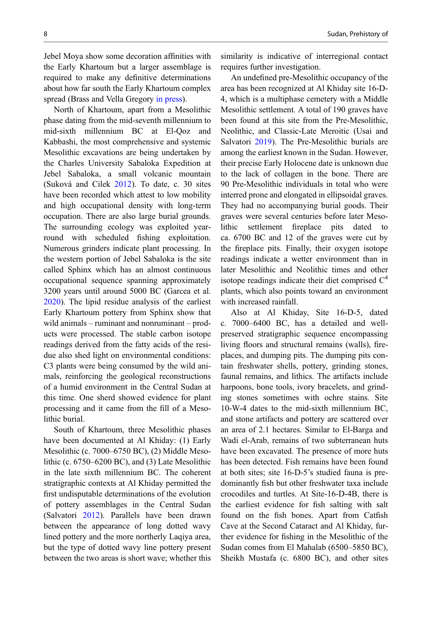Jebel Moya show some decoration affinities with the Early Khartoum but a larger assemblage is required to make any definitive determinations about how far south the Early Khartoum complex spread (Brass and Vella Gregory [in press](#page-14-0)).

North of Khartoum, apart from a Mesolithic phase dating from the mid-seventh millennium to mid-sixth millennium BC at El-Qoz and Kabbashi, the most comprehensive and systemic Mesolithic excavations are being undertaken by the Charles University Sabaloka Expedition at Jebel Sabaloka, a small volcanic mountain (Suková and Cilek [2012\)](#page-15-0). To date, c. 30 sites have been recorded which attest to low mobility and high occupational density with long-term occupation. There are also large burial grounds. The surrounding ecology was exploited yearround with scheduled fishing exploitation. Numerous grinders indicate plant processing. In the western portion of Jebel Sabaloka is the site called Sphinx which has an almost continuous occupational sequence spanning approximately 3200 years until around 5000 BC (Garcea et al. [2020\)](#page-14-0). The lipid residue analysis of the earliest Early Khartoum pottery from Sphinx show that wild animals – ruminant and nonruminant – products were processed. The stable carbon isotope readings derived from the fatty acids of the residue also shed light on environmental conditions: C3 plants were being consumed by the wild animals, reinforcing the geological reconstructions of a humid environment in the Central Sudan at this time. One sherd showed evidence for plant processing and it came from the fill of a Mesolithic burial.

South of Khartoum, three Mesolithic phases have been documented at Al Khiday: (1) Early Mesolithic (c. 7000–6750 BC), (2) Middle Mesolithic (c. 6750–6200 BC), and (3) Late Mesolithic in the late sixth millennium BC. The coherent stratigraphic contexts at Al Khiday permitted the first undisputable determinations of the evolution of pottery assemblages in the Central Sudan (Salvatori [2012\)](#page-15-0). Parallels have been drawn between the appearance of long dotted wavy lined pottery and the more northerly Laqiya area, but the type of dotted wavy line pottery present between the two areas is short wave; whether this similarity is indicative of interregional contact requires further investigation.

An undefined pre-Mesolithic occupancy of the area has been recognized at Al Khiday site 16-D-4, which is a multiphase cemetery with a Middle Mesolithic settlement. A total of 190 graves have been found at this site from the Pre-Mesolithic, Neolithic, and Classic-Late Meroitic (Usai and Salvatori [2019\)](#page-15-0). The Pre-Mesolithic burials are among the earliest known in the Sudan. However, their precise Early Holocene date is unknown due to the lack of collagen in the bone. There are 90 Pre-Mesolithic individuals in total who were interred prone and elongated in ellipsoidal graves. They had no accompanying burial goods. Their graves were several centuries before later Mesolithic settlement fireplace pits dated to ca. 6700 BC and 12 of the graves were cut by the fireplace pits. Finally, their oxygen isotope readings indicate a wetter environment than in later Mesolithic and Neolithic times and other isotope readings indicate their diet comprised  $C<sup>4</sup>$ plants, which also points toward an environment with increased rainfall.

Also at Al Khiday, Site 16-D-5, dated c. 7000–6400 BC, has a detailed and wellpreserved stratigraphic sequence encompassing living floors and structural remains (walls), fireplaces, and dumping pits. The dumping pits contain freshwater shells, pottery, grinding stones, faunal remains, and lithics. The artifacts include harpoons, bone tools, ivory bracelets, and grinding stones sometimes with ochre stains. Site 10-W-4 dates to the mid-sixth millennium BC, and stone artifacts and pottery are scattered over an area of 2.1 hectares. Similar to El-Barga and Wadi el-Arab, remains of two subterranean huts have been excavated. The presence of more huts has been detected. Fish remains have been found at both sites; site 16-D-5's studied fauna is predominantly fish but other freshwater taxa include crocodiles and turtles. At Site-16-D-4B, there is the earliest evidence for fish salting with salt found on the fish bones. Apart from Catfish Cave at the Second Cataract and Al Khiday, further evidence for fishing in the Mesolithic of the Sudan comes from El Mahalab (6500–5850 BC), Sheikh Mustafa (c. 6800 BC), and other sites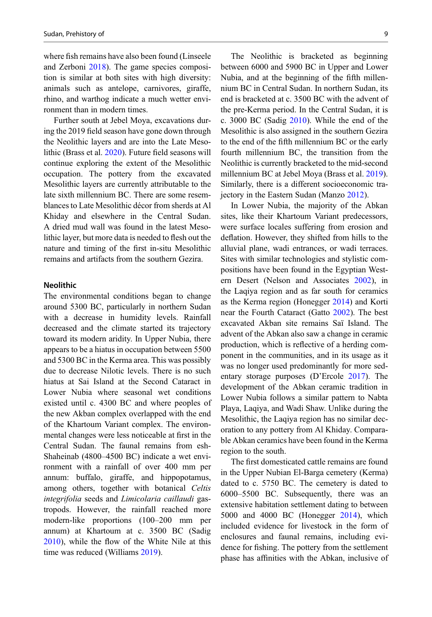where fish remains have also been found (Linseele and Zerboni [2018](#page-15-0)). The game species composition is similar at both sites with high diversity: animals such as antelope, carnivores, giraffe, rhino, and warthog indicate a much wetter environment than in modern times.

Further south at Jebel Moya, excavations during the 2019 field season have gone down through the Neolithic layers and are into the Late Mesolithic (Brass et al. [2020](#page-14-0)). Future field seasons will continue exploring the extent of the Mesolithic occupation. The pottery from the excavated Mesolithic layers are currently attributable to the late sixth millennium BC. There are some resemblances to Late Mesolithic décor from sherds at Al Khiday and elsewhere in the Central Sudan. A dried mud wall was found in the latest Mesolithic layer, but more data is needed to flesh out the nature and timing of the first in-situ Mesolithic remains and artifacts from the southern Gezira.

#### Neolithic

The environmental conditions began to change around 5300 BC, particularly in northern Sudan with a decrease in humidity levels. Rainfall decreased and the climate started its trajectory toward its modern aridity. In Upper Nubia, there appears to be a hiatus in occupation between 5500 and 5300 BC in the Kerma area. This was possibly due to decrease Nilotic levels. There is no such hiatus at Sai Island at the Second Cataract in Lower Nubia where seasonal wet conditions existed until c. 4300 BC and where peoples of the new Akban complex overlapped with the end of the Khartoum Variant complex. The environmental changes were less noticeable at first in the Central Sudan. The faunal remains from esh-Shaheinab (4800–4500 BC) indicate a wet environment with a rainfall of over 400 mm per annum: buffalo, giraffe, and hippopotamus, among others, together with botanical Celtis integrifolia seeds and Limicolaria caillaudi gastropods. However, the rainfall reached more modern-like proportions (100–200 mm per annum) at Khartoum at c. 3500 BC (Sadig [2010\)](#page-15-0), while the flow of the White Nile at this time was reduced (Williams [2019](#page-16-0)).

The Neolithic is bracketed as beginning between 6000 and 5900 BC in Upper and Lower Nubia, and at the beginning of the fifth millennium BC in Central Sudan. In northern Sudan, its end is bracketed at c. 3500 BC with the advent of the pre-Kerma period. In the Central Sudan, it is c. 3000 BC (Sadig [2010\)](#page-15-0). While the end of the Mesolithic is also assigned in the southern Gezira to the end of the fifth millennium BC or the early fourth millennium BC, the transition from the Neolithic is currently bracketed to the mid-second millennium BC at Jebel Moya (Brass et al. [2019\)](#page-14-0). Similarly, there is a different socioeconomic trajectory in the Eastern Sudan (Manzo [2012\)](#page-15-0).

In Lower Nubia, the majority of the Abkan sites, like their Khartoum Variant predecessors, were surface locales suffering from erosion and deflation. However, they shifted from hills to the alluvial plane, wadi entrances, or wadi terraces. Sites with similar technologies and stylistic compositions have been found in the Egyptian Western Desert (Nelson and Associates [2002](#page-15-0)), in the Laqiya region and as far south for ceramics as the Kerma region (Honegger [2014\)](#page-14-0) and Korti near the Fourth Cataract (Gatto [2002](#page-14-0)). The best excavated Akban site remains Saï Island. The advent of the Abkan also saw a change in ceramic production, which is reflective of a herding component in the communities, and in its usage as it was no longer used predominantly for more sedentary storage purposes (D'Ercole [2017](#page-14-0)). The development of the Abkan ceramic tradition in Lower Nubia follows a similar pattern to Nabta Playa, Laqiya, and Wadi Shaw. Unlike during the Mesolithic, the Laqiya region has no similar decoration to any pottery from Al Khiday. Comparable Abkan ceramics have been found in the Kerma region to the south.

The first domesticated cattle remains are found in the Upper Nubian El-Barga cemetery (Kerma) dated to c. 5750 BC. The cemetery is dated to 6000–5500 BC. Subsequently, there was an extensive habitation settlement dating to between 5000 and 4000 BC (Honegger [2014\)](#page-14-0), which included evidence for livestock in the form of enclosures and faunal remains, including evidence for fishing. The pottery from the settlement phase has affinities with the Abkan, inclusive of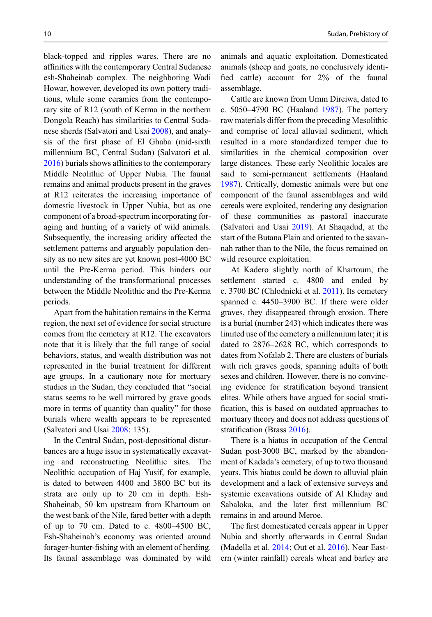black-topped and ripples wares. There are no affinities with the contemporary Central Sudanese esh-Shaheinab complex. The neighboring Wadi Howar, however, developed its own pottery traditions, while some ceramics from the contemporary site of R12 (south of Kerma in the northern Dongola Reach) has similarities to Central Sudanese sherds (Salvatori and Usai [2008](#page-15-0)), and analysis of the first phase of El Ghaba (mid-sixth millennium BC, Central Sudan) (Salvatori et al. [2016\)](#page-15-0) burials shows affinities to the contemporary Middle Neolithic of Upper Nubia. The faunal remains and animal products present in the graves at R12 reiterates the increasing importance of domestic livestock in Upper Nubia, but as one component of a broad-spectrum incorporating foraging and hunting of a variety of wild animals. Subsequently, the increasing aridity affected the settlement patterns and arguably population density as no new sites are yet known post-4000 BC until the Pre-Kerma period. This hinders our understanding of the transformational processes between the Middle Neolithic and the Pre-Kerma periods.

Apart from the habitation remains in the Kerma region, the next set of evidence for social structure comes from the cemetery at R12. The excavators note that it is likely that the full range of social behaviors, status, and wealth distribution was not represented in the burial treatment for different age groups. In a cautionary note for mortuary studies in the Sudan, they concluded that "social status seems to be well mirrored by grave goods more in terms of quantity than quality" for those burials where wealth appears to be represented (Salvatori and Usai [2008](#page-15-0): 135).

In the Central Sudan, post-depositional disturbances are a huge issue in systematically excavating and reconstructing Neolithic sites. The Neolithic occupation of Haj Yusif, for example, is dated to between 4400 and 3800 BC but its strata are only up to 20 cm in depth. Esh-Shaheinab, 50 km upstream from Khartoum on the west bank of the Nile, fared better with a depth of up to 70 cm. Dated to c. 4800–4500 BC, Esh-Shaheinab's economy was oriented around forager-hunter-fishing with an element of herding. Its faunal assemblage was dominated by wild animals and aquatic exploitation. Domesticated animals (sheep and goats, no conclusively identified cattle) account for 2% of the faunal assemblage.

Cattle are known from Umm Direiwa, dated to c. 5050–4790 BC (Haaland [1987](#page-14-0)). The pottery raw materials differ from the preceding Mesolithic and comprise of local alluvial sediment, which resulted in a more standardized temper due to similarities in the chemical composition over large distances. These early Neolithic locales are said to semi-permanent settlements (Haaland [1987\)](#page-14-0). Critically, domestic animals were but one component of the faunal assemblages and wild cereals were exploited, rendering any designation of these communities as pastoral inaccurate (Salvatori and Usai [2019](#page-15-0)). At Shaqadud, at the start of the Butana Plain and oriented to the savannah rather than to the Nile, the focus remained on wild resource exploitation.

At Kadero slightly north of Khartoum, the settlement started c. 4800 and ended by c. 3700 BC (Chlodnicki et al. [2011\)](#page-14-0). Its cemetery spanned c. 4450–3900 BC. If there were older graves, they disappeared through erosion. There is a burial (number 243) which indicates there was limited use of the cemetery a millennium later; it is dated to 2876–2628 BC, which corresponds to dates from Nofalab 2. There are clusters of burials with rich graves goods, spanning adults of both sexes and children. However, there is no convincing evidence for stratification beyond transient elites. While others have argued for social stratification, this is based on outdated approaches to mortuary theory and does not address questions of stratification (Brass [2016](#page-14-0)).

There is a hiatus in occupation of the Central Sudan post-3000 BC, marked by the abandonment of Kadada's cemetery, of up to two thousand years. This hiatus could be down to alluvial plain development and a lack of extensive surveys and systemic excavations outside of Al Khiday and Sabaloka, and the later first millennium BC remains in and around Meroe.

The first domesticated cereals appear in Upper Nubia and shortly afterwards in Central Sudan (Madella et al. [2014](#page-15-0); Out et al. [2016](#page-15-0)). Near Eastern (winter rainfall) cereals wheat and barley are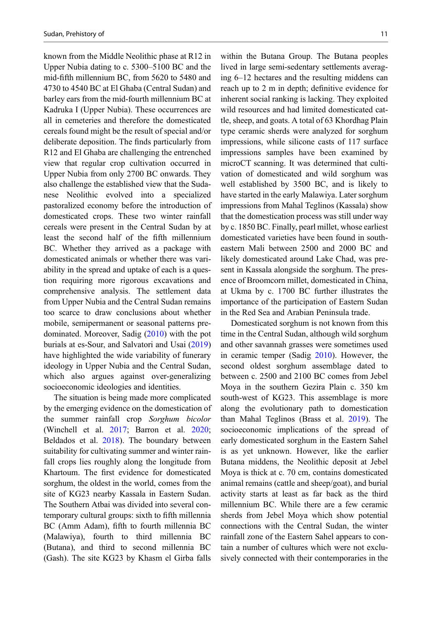known from the Middle Neolithic phase at R12 in Upper Nubia dating to c. 5300–5100 BC and the mid-fifth millennium BC, from 5620 to 5480 and 4730 to 4540 BC at El Ghaba (Central Sudan) and barley ears from the mid-fourth millennium BC at Kadruka I (Upper Nubia). These occurrences are all in cemeteries and therefore the domesticated cereals found might be the result of special and/or deliberate deposition. The finds particularly from R12 and El Ghaba are challenging the entrenched view that regular crop cultivation occurred in Upper Nubia from only 2700 BC onwards. They also challenge the established view that the Sudanese Neolithic evolved into a specialized pastoralized economy before the introduction of domesticated crops. These two winter rainfall cereals were present in the Central Sudan by at least the second half of the fifth millennium BC. Whether they arrived as a package with domesticated animals or whether there was variability in the spread and uptake of each is a question requiring more rigorous excavations and comprehensive analysis. The settlement data from Upper Nubia and the Central Sudan remains too scarce to draw conclusions about whether mobile, semipermanent or seasonal patterns predominated. Moreover, Sadig ([2010\)](#page-15-0) with the pot burials at es-Sour, and Salvatori and Usai [\(2019](#page-15-0)) have highlighted the wide variability of funerary ideology in Upper Nubia and the Central Sudan, which also argues against over-generalizing socioeconomic ideologies and identities.

The situation is being made more complicated by the emerging evidence on the domestication of the summer rainfall crop Sorghum bicolor (Winchell et al. [2017](#page-16-0); Barron et al. [2020;](#page-14-0) Beldados et al. [2018\)](#page-14-0). The boundary between suitability for cultivating summer and winter rainfall crops lies roughly along the longitude from Khartoum. The first evidence for domesticated sorghum, the oldest in the world, comes from the site of KG23 nearby Kassala in Eastern Sudan. The Southern Atbai was divided into several contemporary cultural groups: sixth to fifth millennia BC (Amm Adam), fifth to fourth millennia BC (Malawiya), fourth to third millennia BC (Butana), and third to second millennia BC (Gash). The site KG23 by Khasm el Girba falls

within the Butana Group. The Butana peoples lived in large semi-sedentary settlements averaging 6–12 hectares and the resulting middens can reach up to 2 m in depth; definitive evidence for inherent social ranking is lacking. They exploited wild resources and had limited domesticated cattle, sheep, and goats. A total of 63 Khordhag Plain type ceramic sherds were analyzed for sorghum impressions, while silicone casts of 117 surface impressions samples have been examined by microCT scanning. It was determined that cultivation of domesticated and wild sorghum was well established by 3500 BC, and is likely to have started in the early Malawiya. Later sorghum impressions from Mahal Teglinos (Kassala) show that the domestication process was still under way by c. 1850 BC. Finally, pearl millet, whose earliest domesticated varieties have been found in southeastern Mali between 2500 and 2000 BC and likely domesticated around Lake Chad, was present in Kassala alongside the sorghum. The presence of Broomcorn millet, domesticated in China, at Ukma by c. 1700 BC further illustrates the importance of the participation of Eastern Sudan in the Red Sea and Arabian Peninsula trade.

Domesticated sorghum is not known from this time in the Central Sudan, although wild sorghum and other savannah grasses were sometimes used in ceramic temper (Sadig [2010](#page-15-0)). However, the second oldest sorghum assemblage dated to between c. 2500 and 2100 BC comes from Jebel Moya in the southern Gezira Plain c. 350 km south-west of KG23. This assemblage is more along the evolutionary path to domestication than Mahal Teglinos (Brass et al. [2019](#page-14-0)). The socioeconomic implications of the spread of early domesticated sorghum in the Eastern Sahel is as yet unknown. However, like the earlier Butana middens, the Neolithic deposit at Jebel Moya is thick at c. 70 cm, contains domesticated animal remains (cattle and sheep/goat), and burial activity starts at least as far back as the third millennium BC. While there are a few ceramic sherds from Jebel Moya which show potential connections with the Central Sudan, the winter rainfall zone of the Eastern Sahel appears to contain a number of cultures which were not exclusively connected with their contemporaries in the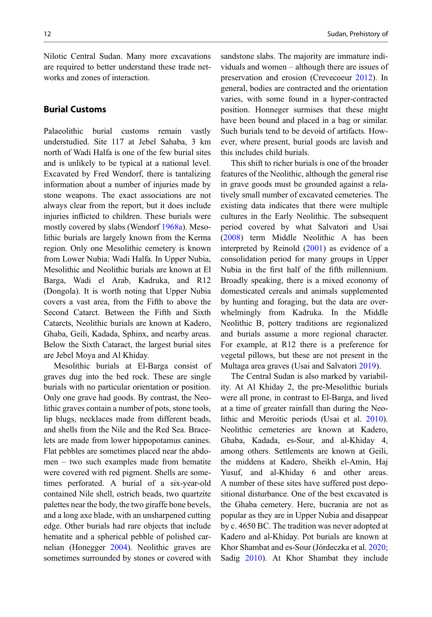Nilotic Central Sudan. Many more excavations are required to better understand these trade networks and zones of interaction.

### Burial Customs

Palaeolithic burial customs remain vastly understudied. Site 117 at Jebel Sahaba, 3 km north of Wadi Halfa is one of the few burial sites and is unlikely to be typical at a national level. Excavated by Fred Wendorf, there is tantalizing information about a number of injuries made by stone weapons. The exact associations are not always clear from the report, but it does include injuries inflicted to children. These burials were mostly covered by slabs (Wendorf [1968a](#page-16-0)). Mesolithic burials are largely known from the Kerma region. Only one Mesolithic cemetery is known from Lower Nubia: Wadi Halfa. In Upper Nubia, Mesolithic and Neolithic burials are known at El Barga, Wadi el Arab, Kadruka, and R12 (Dongola). It is worth noting that Upper Nubia covers a vast area, from the Fifth to above the Second Catarct. Between the Fifth and Sixth Catarcts, Neolithic burials are known at Kadero, Ghaba, Geili, Kadada, Sphinx, and nearby areas. Below the Sixth Cataract, the largest burial sites are Jebel Moya and Al Khiday.

Mesolithic burials at El-Barga consist of graves dug into the bed rock. These are single burials with no particular orientation or position. Only one grave had goods. By contrast, the Neolithic graves contain a number of pots, stone tools, lip blugs, necklaces made from different beads, and shells from the Nile and the Red Sea. Bracelets are made from lower hippopotamus canines. Flat pebbles are sometimes placed near the abdomen – two such examples made from hematite were covered with red pigment. Shells are sometimes perforated. A burial of a six-year-old contained Nile shell, ostrich beads, two quartzite palettes near the body, the two giraffe bone bevels, and a long axe blade, with an unsharpened cutting edge. Other burials had rare objects that include hematite and a spherical pebble of polished carnelian (Honegger [2004](#page-14-0)). Neolithic graves are sometimes surrounded by stones or covered with

sandstone slabs. The majority are immature individuals and women – although there are issues of preservation and erosion (Crevecoeur [2012](#page-14-0)). In general, bodies are contracted and the orientation varies, with some found in a hyper-contracted position. Honneger surmises that these might have been bound and placed in a bag or similar. Such burials tend to be devoid of artifacts. However, where present, burial goods are lavish and this includes child burials.

This shift to richer burials is one of the broader features of the Neolithic, although the general rise in grave goods must be grounded against a relatively small number of excavated cemeteries. The existing data indicates that there were multiple cultures in the Early Neolithic. The subsequent period covered by what Salvatori and Usai [\(2008](#page-15-0)) term Middle Neolithic A has been interpreted by Reinold ([2001\)](#page-15-0) as evidence of a consolidation period for many groups in Upper Nubia in the first half of the fifth millennium. Broadly speaking, there is a mixed economy of domesticated cereals and animals supplemented by hunting and foraging, but the data are overwhelmingly from Kadruka. In the Middle Neolithic B, pottery traditions are regionalized and burials assume a more regional character. For example, at R12 there is a preference for vegetal pillows, but these are not present in the Multaga area graves (Usai and Salvatori [2019\)](#page-15-0).

The Central Sudan is also marked by variability. At Al Khiday 2, the pre-Mesolithic burials were all prone, in contrast to El-Barga, and lived at a time of greater rainfall than during the Neolithic and Meroitic periods (Usai et al. [2010\)](#page-15-0). Neolithic cemeteries are known at Kadero, Ghaba, Kadada, es-Sour, and al-Khiday 4, among others. Settlements are known at Geili, the middens at Kadero, Sheikh el-Amin, Haj Yusuf, and al-Khiday 6 and other areas. A number of these sites have suffered post depositional disturbance. One of the best excavated is the Ghaba cemetery. Here, bucrania are not as popular as they are in Upper Nubia and disappear by c. 4650 BC. The tradition was never adopted at Kadero and al-Khiday. Pot burials are known at Khor Shambat and es-Sour (Jórdeczka et al. [2020;](#page-14-0) Sadig [2010\)](#page-15-0). At Khor Shambat they include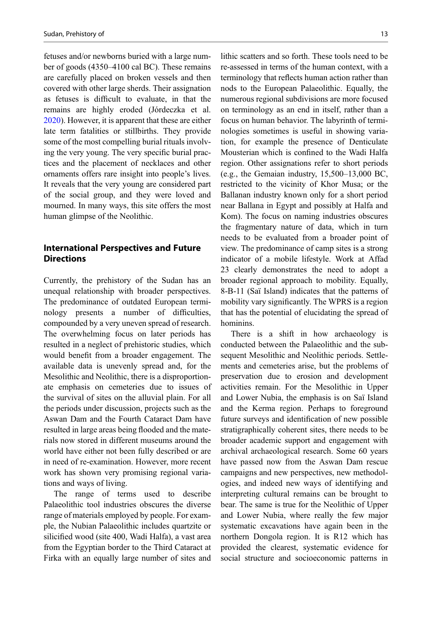fetuses and/or newborns buried with a large number of goods (4350–4100 cal BC). These remains are carefully placed on broken vessels and then covered with other large sherds. Their assignation as fetuses is difficult to evaluate, in that the remains are highly eroded (Jórdeczka et al. [2020\)](#page-14-0). However, it is apparent that these are either late term fatalities or stillbirths. They provide some of the most compelling burial rituals involving the very young. The very specific burial practices and the placement of necklaces and other ornaments offers rare insight into people's lives. It reveals that the very young are considered part of the social group, and they were loved and mourned. In many ways, this site offers the most human glimpse of the Neolithic.

### International Perspectives and Future **Directions**

Currently, the prehistory of the Sudan has an unequal relationship with broader perspectives. The predominance of outdated European terminology presents a number of difficulties, compounded by a very uneven spread of research. The overwhelming focus on later periods has resulted in a neglect of prehistoric studies, which would benefit from a broader engagement. The available data is unevenly spread and, for the Mesolithic and Neolithic, there is a disproportionate emphasis on cemeteries due to issues of the survival of sites on the alluvial plain. For all the periods under discussion, projects such as the Aswan Dam and the Fourth Cataract Dam have resulted in large areas being flooded and the materials now stored in different museums around the world have either not been fully described or are in need of re-examination. However, more recent work has shown very promising regional variations and ways of living.

The range of terms used to describe Palaeolithic tool industries obscures the diverse range of materials employed by people. For example, the Nubian Palaeolithic includes quartzite or silicified wood (site 400, Wadi Halfa), a vast area from the Egyptian border to the Third Cataract at Firka with an equally large number of sites and

lithic scatters and so forth. These tools need to be re-assessed in terms of the human context, with a terminology that reflects human action rather than nods to the European Palaeolithic. Equally, the numerous regional subdivisions are more focused on terminology as an end in itself, rather than a focus on human behavior. The labyrinth of terminologies sometimes is useful in showing variation, for example the presence of Denticulate Mousterian which is confined to the Wadi Halfa region. Other assignations refer to short periods (e.g., the Gemaian industry, 15,500–13,000 BC, restricted to the vicinity of Khor Musa; or the Ballanan industry known only for a short period near Ballana in Egypt and possibly at Halfa and Kom). The focus on naming industries obscures the fragmentary nature of data, which in turn needs to be evaluated from a broader point of view. The predominance of camp sites is a strong indicator of a mobile lifestyle. Work at Affad 23 clearly demonstrates the need to adopt a broader regional approach to mobility. Equally, 8-B-11 (Saï Island) indicates that the patterns of mobility vary significantly. The WPRS is a region that has the potential of elucidating the spread of hominins.

There is a shift in how archaeology is conducted between the Palaeolithic and the subsequent Mesolithic and Neolithic periods. Settlements and cemeteries arise, but the problems of preservation due to erosion and development activities remain. For the Mesolithic in Upper and Lower Nubia, the emphasis is on Saï Island and the Kerma region. Perhaps to foreground future surveys and identification of new possible stratigraphically coherent sites, there needs to be broader academic support and engagement with archival archaeological research. Some 60 years have passed now from the Aswan Dam rescue campaigns and new perspectives, new methodologies, and indeed new ways of identifying and interpreting cultural remains can be brought to bear. The same is true for the Neolithic of Upper and Lower Nubia, where really the few major systematic excavations have again been in the northern Dongola region. It is R12 which has provided the clearest, systematic evidence for social structure and socioeconomic patterns in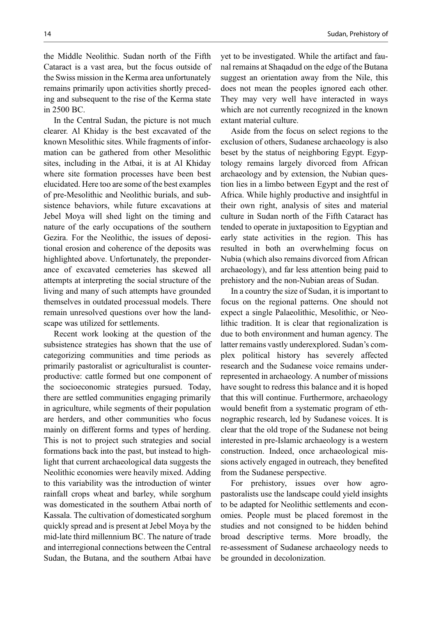the Middle Neolithic. Sudan north of the Fifth Cataract is a vast area, but the focus outside of the Swiss mission in the Kerma area unfortunately remains primarily upon activities shortly preceding and subsequent to the rise of the Kerma state in 2500 BC.

In the Central Sudan, the picture is not much clearer. Al Khiday is the best excavated of the known Mesolithic sites. While fragments of information can be gathered from other Mesolithic sites, including in the Atbai, it is at Al Khiday where site formation processes have been best elucidated. Here too are some of the best examples of pre-Mesolithic and Neolithic burials, and subsistence behaviors, while future excavations at Jebel Moya will shed light on the timing and nature of the early occupations of the southern Gezira. For the Neolithic, the issues of depositional erosion and coherence of the deposits was highlighted above. Unfortunately, the preponderance of excavated cemeteries has skewed all attempts at interpreting the social structure of the living and many of such attempts have grounded themselves in outdated processual models. There remain unresolved questions over how the landscape was utilized for settlements.

Recent work looking at the question of the subsistence strategies has shown that the use of categorizing communities and time periods as primarily pastoralist or agriculturalist is counterproductive: cattle formed but one component of the socioeconomic strategies pursued. Today, there are settled communities engaging primarily in agriculture, while segments of their population are herders, and other communities who focus mainly on different forms and types of herding. This is not to project such strategies and social formations back into the past, but instead to highlight that current archaeological data suggests the Neolithic economies were heavily mixed. Adding to this variability was the introduction of winter rainfall crops wheat and barley, while sorghum was domesticated in the southern Atbai north of Kassala. The cultivation of domesticated sorghum quickly spread and is present at Jebel Moya by the mid-late third millennium BC. The nature of trade and interregional connections between the Central Sudan, the Butana, and the southern Atbai have

yet to be investigated. While the artifact and faunal remains at Shaqadud on the edge of the Butana suggest an orientation away from the Nile, this does not mean the peoples ignored each other. They may very well have interacted in ways which are not currently recognized in the known extant material culture.

Aside from the focus on select regions to the exclusion of others, Sudanese archaeology is also beset by the status of neighboring Egypt. Egyptology remains largely divorced from African archaeology and by extension, the Nubian question lies in a limbo between Egypt and the rest of Africa. While highly productive and insightful in their own right, analysis of sites and material culture in Sudan north of the Fifth Cataract has tended to operate in juxtaposition to Egyptian and early state activities in the region. This has resulted in both an overwhelming focus on Nubia (which also remains divorced from African archaeology), and far less attention being paid to prehistory and the non-Nubian areas of Sudan.

In a country the size of Sudan, it is important to focus on the regional patterns. One should not expect a single Palaeolithic, Mesolithic, or Neolithic tradition. It is clear that regionalization is due to both environment and human agency. The latter remains vastly underexplored. Sudan's complex political history has severely affected research and the Sudanese voice remains underrepresented in archaeology. A number of missions have sought to redress this balance and it is hoped that this will continue. Furthermore, archaeology would benefit from a systematic program of ethnographic research, led by Sudanese voices. It is clear that the old trope of the Sudanese not being interested in pre-Islamic archaeology is a western construction. Indeed, once archaeological missions actively engaged in outreach, they benefited from the Sudanese perspective.

For prehistory, issues over how agropastoralists use the landscape could yield insights to be adapted for Neolithic settlements and economies. People must be placed foremost in the studies and not consigned to be hidden behind broad descriptive terms. More broadly, the re-assessment of Sudanese archaeology needs to be grounded in decolonization.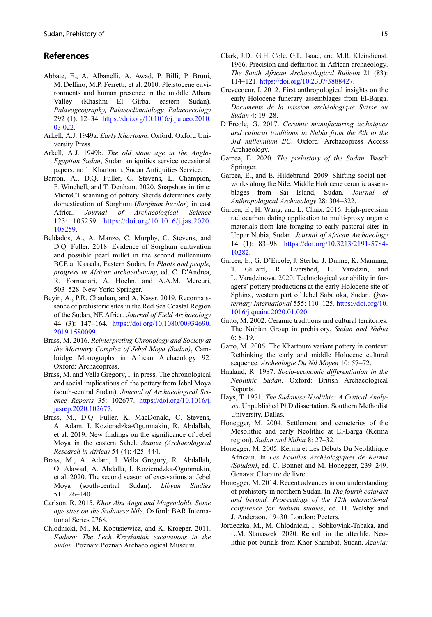### <span id="page-14-0"></span>References

- Abbate, E., A. Albanelli, A. Awad, P. Billi, P. Bruni, M. Delfino, M.P. Ferretti, et al. 2010. Pleistocene environments and human presence in the middle Atbara Valley (Khashm El Girba, eastern Sudan). Palaeogeography, Palaeoclimatology, Palaeoecology 292 (1): 12–34. [https://doi.org/10.1016/j.palaeo.2010.](https://doi.org/10.1016/j.palaeo.2010.03.022) [03.022](https://doi.org/10.1016/j.palaeo.2010.03.022).
- Arkell, A.J. 1949a. Early Khartoum. Oxford: Oxford University Press.
- Arkell, A.J. 1949b. The old stone age in the Anglo-Egyptian Sudan, Sudan antiquities service occasional papers, no 1. Khartoum: Sudan Antiquities Service.
- Barron, A., D.Q. Fuller, C. Stevens, L. Champion, F. Winchell, and T. Denham. 2020. Snapshots in time: MicroCT scanning of pottery Sherds determines early domestication of Sorghum (Sorghum bicolor) in east Africa. Journal of Archaeological Science 123: 105259. [https://doi.org/10.1016/j.jas.2020.](https://doi.org/10.1016/j.jas.2020.105259) [105259](https://doi.org/10.1016/j.jas.2020.105259).
- Beldados, A., A. Manzo, C. Murphy, C. Stevens, and D.Q. Fuller. 2018. Evidence of Sorghum cultivation and possible pearl millet in the second millennium BCE at Kassala, Eastern Sudan. In Plants and people, progress in African archaeobotany, ed. C. D'Andrea, R. Fornaciari, A. Hoehn, and A.A.M. Mercuri, 503–528. New York: Springer.
- Beyin, A., P.R. Chauhan, and A. Nassr. 2019. Reconnaissance of prehistoric sites in the Red Sea Coastal Region of the Sudan, NE Africa. Journal of Field Archaeology 44 (3): 147–164. [https://doi.org/10.1080/00934690.](https://doi.org/10.1080/00934690.2019.1580099) [2019.1580099.](https://doi.org/10.1080/00934690.2019.1580099)
- Brass, M. 2016. Reinterpreting Chronology and Society at the Mortuary Complex of Jebel Moya (Sudan), Cambridge Monographs in African Archaeology 92. Oxford: Archaeopress.
- Brass, M. and Vella Gregory, I. in press. The chronological and social implications of the pottery from Jebel Moya (south-central Sudan). Journal of Archaeological Science Reports 35: 102677. [https://doi.org/10.1016/j.](https://doi.org/10.1016/j.jasrep.2020.102677) [jasrep.2020.102677](https://doi.org/10.1016/j.jasrep.2020.102677).
- Brass, M., D.Q. Fuller, K. MacDonald, C. Stevens, A. Adam, I. Kozieradzka-Ogunmakin, R. Abdallah, et al. 2019. New findings on the significance of Jebel Moya in the eastern Sahel. Azania (Archaeological Research in Africa) 54 (4): 425–444.
- Brass, M., A. Adam, I. Vella Gregory, R. Abdallah, O. Alawad, A. Abdalla, I. Kozieradzka-Ogunmakin, et al. 2020. The second season of excavations at Jebel Moya (south-central Sudan). Libyan Studies 51: 126–140.
- Carlson, R. 2015. Khor Abu Anga and Magendohli. Stone age sites on the Sudanese Nile. Oxford: BAR International Series 2768.
- Chlodnicki, M., M. Kobusiewicz, and K. Kroeper. 2011. Kadero: The Lech Krzyźaniak excavations in the Sudan. Poznan: Poznan Archaeological Museum.
- Clark, J.D., G.H. Cole, G.L. Isaac, and M.R. Kleindienst. 1966. Precision and definition in African archaeology. The South African Archaeological Bulletin 21 (83): 114–121. [https://doi.org/10.2307/3888427.](https://doi.org/10.2307/3888427)
- Crevecoeur, I. 2012. First anthropological insights on the early Holocene funerary assemblages from El-Barga. Documents de la mission archéologique Suisse au Sudan 4: 19–28.
- D'Ercole, G. 2017. Ceramic manufacturing techniques and cultural traditions in Nubia from the 8th to the 3rd millennium BC. Oxford: Archaeopress Access Archaeology.
- Garcea, E. 2020. The prehistory of the Sudan. Basel: Springer.
- Garcea, E., and E. Hildebrand. 2009. Shifting social networks along the Nile: Middle Holocene ceramic assemblages from Sai Island, Sudan. Journal of Anthropological Archaeology 28: 304–322.
- Garcea, E., H. Wang, and L. Chaix. 2016. High-precision radiocarbon dating application to multi-proxy organic materials from late foraging to early pastoral sites in Upper Nubia, Sudan. Journal of African Archaeology 14 (1): 83–98. [https://doi.org/10.3213/2191-5784-](https://doi.org/10.3213/2191-5784-10282) [10282](https://doi.org/10.3213/2191-5784-10282).
- Garcea, E., G. D'Ercole, J. Sterba, J. Dunne, K. Manning, T. Gillard, R. Evershed, L. Varadzin, and L. Varadzinova. 2020. Technological variability in foragers' pottery productions at the early Holocene site of Sphinx, western part of Jebel Sabaloka, Sudan. Quaternary International 555: 110-125. [https://doi.org/10.](https://doi.org/10.1016/j.quaint.2020.01.020) [1016/j.quaint.2020.01.020](https://doi.org/10.1016/j.quaint.2020.01.020).
- Gatto, M. 2002. Ceramic traditions and cultural territories: The Nubian Group in prehistory. Sudan and Nubia  $6: 8-19$ .
- Gatto, M. 2006. The Khartoum variant pottery in context: Rethinking the early and middle Holocene cultural sequence. Archeologie Du Nil Moyen 10: 57–72.
- Haaland, R. 1987. Socio-economic differentiation in the Neolithic Sudan. Oxford: British Archaeological Reports.
- Hays, T. 1971. The Sudanese Neolithic: A Critical Analysis. Unpublished PhD dissertation, Southern Methodist University, Dallas.
- Honegger, M. 2004. Settlement and cemeteries of the Mesolithic and early Neolithic at El-Barga (Kerma region). Sudan and Nubia 8: 27–32.
- Honegger, M. 2005. Kerma et Les Débuts Du Nèolithique Africain. In Les Fouilles Archéologiques de Kerma (Soudan), ed. C. Bonnet and M. Honegger, 239–249. Genava: Chapitre de livre.
- Honegger, M. 2014. Recent advances in our understanding of prehistory in northern Sudan. In The fourth cataract and beyond: Proceedings of the 12th international conference for Nubian studies, ed. D. Welsby and J. Anderson, 19–30. London: Peeters.
- Jórdeczka, M., M. Chłodnicki, I. Sobkowiak-Tabaka, and Ł.M. Stanaszek. 2020. Rebirth in the afterlife: Neolithic pot burials from Khor Shambat, Sudan. Azania: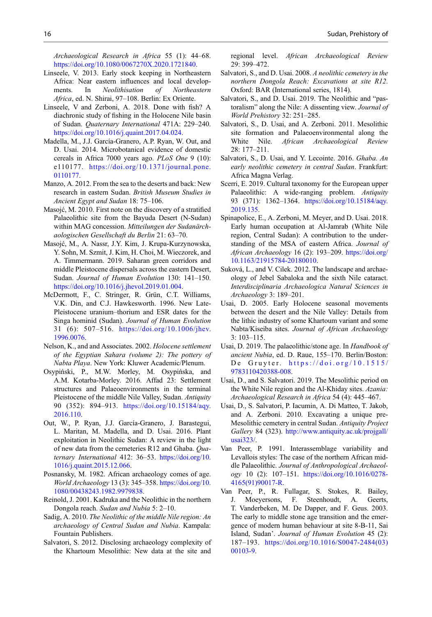<span id="page-15-0"></span>Archaeological Research in Africa 55 (1): 44–68. [https://doi.org/10.1080/0067270X.2020.1721840.](https://doi.org/10.1080/0067270X.2020.1721840)

- Linseele, V. 2013. Early stock keeping in Northeastern Africa: Near eastern influences and local developments. In Neolithisation of Northeastern Africa, ed. N. Shirai, 97–108. Berlin: Ex Oriente.
- Linseele, V and Zerboni, A. 2018. Done with fish? A diachronic study of fishing in the Holocene Nile basin of Sudan. Quaternary International 471A: 229–240. <https://doi.org/10.1016/j.quaint.2017.04.024>.
- Madella, M., J.J. García-Granero, A.P. Ryan, W. Out, and D. Usai. 2014. Microbotanical evidence of domestic cereals in Africa 7000 years ago. PLoS One 9 (10): e110177. [https://doi.org/10.1371/journal.pone.](https://doi.org/10.1371/journal.pone.0110177) [0110177](https://doi.org/10.1371/journal.pone.0110177).
- Manzo, A. 2012. From the sea to the deserts and back: New research in eastern Sudan. British Museum Studies in Ancient Egypt and Sudan 18: 75–106.
- Masojć, M. 2010. First note on the discovery of a stratified Palaeolithic site from the Bayuda Desert (N-Sudan) within MAG concession. Mitteilungen der Sudanärchaologischen Gesellschaft du Berlin 21: 63–70.
- Masojć, M., A. Nassr, J.Y. Kim, J. Krupa-Kurzynowska, Y. Sohn, M. Szmit, J. Kim, H. Choi, M. Wieczorek, and A. Timmermann. 2019. Saharan green corridors and middle Pleistocene dispersals across the eastern Desert, Sudan. Journal of Human Evolution 130: 141–150. <https://doi.org/10.1016/j.jhevol.2019.01.004>.
- McDermott, F., C. Stringer, R. Grün, C.T. Williams, V.K. Din, and C.J. Hawkesworth. 1996. New Late-Pleistocene uranium–thorium and ESR dates for the Singa hominid (Sudan). Journal of Human Evolution 31 (6): 507–516. [https://doi.org/10.1006/jhev.](https://doi.org/10.1006/jhev.1996.0076) [1996.0076.](https://doi.org/10.1006/jhev.1996.0076)
- Nelson, K., and and Associates. 2002. Holocene settlement of the Egyptian Sahara (volume 2): The pottery of Nabta Playa. New York: Kluwer Academic/Plenum.
- Osypiński, P., M.W. Morley, M. Osypińska, and A.M. Kotarba-Morley. 2016. Affad 23: Settlement structures and Palaeoenvironments in the terminal Pleistocene of the middle Nile Valley, Sudan. Antiquity 90 (352): 894–913. [https://doi.org/10.15184/aqy.](https://doi.org/10.15184/aqy.2016.110) [2016.110](https://doi.org/10.15184/aqy.2016.110).
- Out, W., P. Ryan, J.J. García-Granero, J. Barastegui, L. Maritan, M. Madella, and D. Usai. 2016. Plant exploitation in Neolithic Sudan: A review in the light of new data from the cemeteries R12 and Ghaba. Quaternary International 412: 36-53. [https://doi.org/10.](https://doi.org/10.1016/j.quaint.2015.12.066) [1016/j.quaint.2015.12.066](https://doi.org/10.1016/j.quaint.2015.12.066).
- Posnansky, M. 1982. African archaeology comes of age. World Archaeology 13 (3): 345–358. [https://doi.org/10.](https://doi.org/10.1080/00438243.1982.9979838) [1080/00438243.1982.9979838.](https://doi.org/10.1080/00438243.1982.9979838)
- Reinold, J. 2001. Kadruka and the Neolithic in the northern Dongola reach. Sudan and Nubia 5: 2–10.
- Sadig, A. 2010. The Neolithic of the middle Nile region: An archaeology of Central Sudan and Nubia. Kampala: Fountain Publishers.
- Salvatori, S. 2012. Disclosing archaeology complexity of the Khartoum Mesolithic: New data at the site and

regional level. African Archaeological Review 29: 399–472.

- Salvatori, S., and D. Usai. 2008. A neolithic cemetery in the northern Dongola Reach: Excavations at site R12. Oxford: BAR (International series, 1814).
- Salvatori, S., and D. Usai. 2019. The Neolithic and "pastoralism" along the Nile: A dissenting view. Journal of World Prehistory 32: 251–285.
- Salvatori, S., D. Usai, and A. Zerboni. 2011. Mesolithic site formation and Palaeoenvironmental along the White Nile. African Archaeological Review 28: 177–211.
- Salvatori, S., D. Usai, and Y. Lecointe. 2016. Ghaba. An early neolithic cemetery in central Sudan. Frankfurt: Africa Magna Verlag.
- Scerri, E. 2019. Cultural taxonomy for the European upper Palaeolithic: A wide-ranging problem. Antiquity 93 (371): 1362–1364. [https://doi.org/10.15184/aqy.](https://doi.org/10.15184/aqy.2019.135) [2019.135.](https://doi.org/10.15184/aqy.2019.135)
- Spinapolice, E., A. Zerboni, M. Meyer, and D. Usai. 2018. Early human occupation at Al-Jamrab (White Nile region, Central Sudan): A contribution to the understanding of the MSA of eastern Africa. Journal of African Archaeology 16 (2): 193–209. [https://doi.org/](https://doi.org/10.1163/21915784-20180010) [10.1163/21915784-20180010.](https://doi.org/10.1163/21915784-20180010)
- Suková, L., and V. Cilek. 2012. The landscape and archaeology of Jebel Sabaloka and the sixth Nile cataract. Interdisciplinaria Archaeologica Natural Sciences in Archaeology 3: 189–201.
- Usai, D. 2005. Early Holocene seasonal movements between the desert and the Nile Valley: Details from the lithic industry of some Khartoum variant and some Nabta/Kiseiba sites. Journal of African Archaeology 3: 103–115.
- Usai, D. 2019. The palaeolithic/stone age. In Handbook of ancient Nubia, ed. D. Raue, 155–170. Berlin/Boston: De Gruyter. [https://doi.org/10.1515/](https://doi.org/10.1515/9783110420388-008) [9783110420388-008](https://doi.org/10.1515/9783110420388-008).
- Usai, D., and S. Salvatori. 2019. The Mesolithic period on the White Nile region and the Al-Khiday sites. Azania: Archaeological Research in Africa 54 (4): 445–467.
- Usai, D., S. Salvatori, P. Iacumin, A. Di Matteo, T. Jakob, and A. Zerboni. 2010. Excavating a unique pre-Mesolithic cemetery in central Sudan. Antiquity Project Gallery 84 (323). [http://www.antiquity.ac.uk/projgall/](http://www.antiquity.ac.uk/projgall/usai323/) [usai323/](http://www.antiquity.ac.uk/projgall/usai323/).
- Van Peer, P. 1991. Interassemblage variability and Levallois styles: The case of the northern African middle Palaeolithic. Journal of Anthropological Archaeology 10 (2): 107–151. [https://doi.org/10.1016/0278-](https://doi.org/10.1016/0278-4165(91)90017-R) [4165\(91\)90017-R](https://doi.org/10.1016/0278-4165(91)90017-R).
- Van Peer, P., R. Fullagar, S. Stokes, R. Bailey, J. Moeyersons, F. Steenhoudt, A. Geerts, T. Vanderbeken, M. De Dapper, and F. Geus. 2003. The early to middle stone age transition and the emergence of modern human behaviour at site 8-B-11, Sai Island, Sudan'. Journal of Human Evolution 45 (2): 187–193. [https://doi.org/10.1016/S0047-2484\(03\)](https://doi.org/10.1016/S0047-2484(03)00103-9) [00103-9](https://doi.org/10.1016/S0047-2484(03)00103-9).